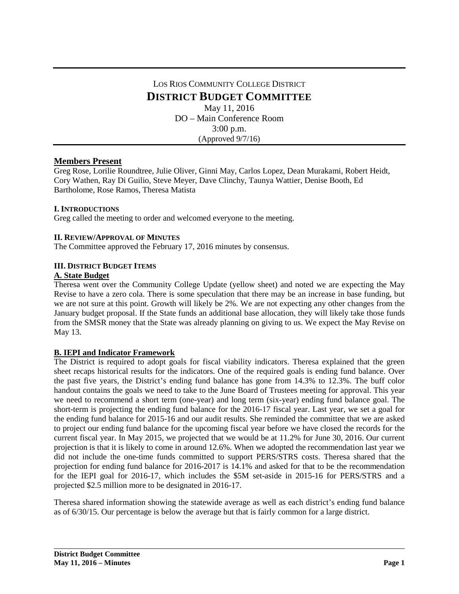# LOS RIOS COMMUNITY COLLEGE DISTRICT **DISTRICT BUDGET COMMITTEE** May 11, 2016 DO – Main Conference Room 3:00 p.m. (Approved 9/7/16)

# **Members Present**

Greg Rose, Lorilie Roundtree, Julie Oliver, Ginni May, Carlos Lopez, Dean Murakami, Robert Heidt, Cory Wathen, Ray Di Guilio, Steve Meyer, Dave Clinchy, Taunya Wattier, Denise Booth, Ed Bartholome, Rose Ramos, Theresa Matista

# **I. INTRODUCTIONS**

Greg called the meeting to order and welcomed everyone to the meeting.

#### **II. REVIEW/APPROVAL OF MINUTES**

The Committee approved the February 17, 2016 minutes by consensus.

#### **III. DISTRICT BUDGET ITEMS**

#### **A. State Budget**

Theresa went over the Community College Update (yellow sheet) and noted we are expecting the May Revise to have a zero cola. There is some speculation that there may be an increase in base funding, but we are not sure at this point. Growth will likely be 2%. We are not expecting any other changes from the January budget proposal. If the State funds an additional base allocation, they will likely take those funds from the SMSR money that the State was already planning on giving to us. We expect the May Revise on May 13.

# **B. IEPI and Indicator Framework**

The District is required to adopt goals for fiscal viability indicators. Theresa explained that the green sheet recaps historical results for the indicators. One of the required goals is ending fund balance. Over the past five years, the District's ending fund balance has gone from 14.3% to 12.3%. The buff color handout contains the goals we need to take to the June Board of Trustees meeting for approval. This year we need to recommend a short term (one-year) and long term (six-year) ending fund balance goal. The short-term is projecting the ending fund balance for the 2016-17 fiscal year. Last year, we set a goal for the ending fund balance for 2015-16 and our audit results. She reminded the committee that we are asked to project our ending fund balance for the upcoming fiscal year before we have closed the records for the current fiscal year. In May 2015, we projected that we would be at 11.2% for June 30, 2016. Our current projection is that it is likely to come in around 12.6%. When we adopted the recommendation last year we did not include the one-time funds committed to support PERS/STRS costs. Theresa shared that the projection for ending fund balance for 2016-2017 is 14.1% and asked for that to be the recommendation for the IEPI goal for 2016-17, which includes the \$5M set-aside in 2015-16 for PERS/STRS and a projected \$2.5 million more to be designated in 2016-17.

Theresa shared information showing the statewide average as well as each district's ending fund balance as of 6/30/15. Our percentage is below the average but that is fairly common for a large district.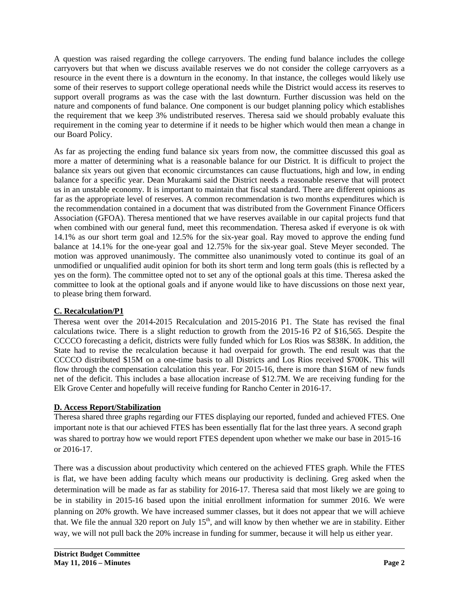A question was raised regarding the college carryovers. The ending fund balance includes the college carryovers but that when we discuss available reserves we do not consider the college carryovers as a resource in the event there is a downturn in the economy. In that instance, the colleges would likely use some of their reserves to support college operational needs while the District would access its reserves to support overall programs as was the case with the last downturn. Further discussion was held on the nature and components of fund balance. One component is our budget planning policy which establishes the requirement that we keep 3% undistributed reserves. Theresa said we should probably evaluate this requirement in the coming year to determine if it needs to be higher which would then mean a change in our Board Policy.

As far as projecting the ending fund balance six years from now, the committee discussed this goal as more a matter of determining what is a reasonable balance for our District. It is difficult to project the balance six years out given that economic circumstances can cause fluctuations, high and low, in ending balance for a specific year. Dean Murakami said the District needs a reasonable reserve that will protect us in an unstable economy. It is important to maintain that fiscal standard. There are different opinions as far as the appropriate level of reserves. A common recommendation is two months expenditures which is the recommendation contained in a document that was distributed from the Government Finance Officers Association (GFOA). Theresa mentioned that we have reserves available in our capital projects fund that when combined with our general fund, meet this recommendation. Theresa asked if everyone is ok with 14.1% as our short term goal and 12.5% for the six-year goal. Ray moved to approve the ending fund balance at 14.1% for the one-year goal and 12.75% for the six-year goal. Steve Meyer seconded. The motion was approved unanimously. The committee also unanimously voted to continue its goal of an unmodified or unqualified audit opinion for both its short term and long term goals (this is reflected by a yes on the form). The committee opted not to set any of the optional goals at this time. Theresa asked the committee to look at the optional goals and if anyone would like to have discussions on those next year, to please bring them forward.

# **C. Recalculation/P1**

Theresa went over the 2014-2015 Recalculation and 2015-2016 P1. The State has revised the final calculations twice. There is a slight reduction to growth from the 2015-16 P2 of \$16,565. Despite the CCCCO forecasting a deficit, districts were fully funded which for Los Rios was \$838K. In addition, the State had to revise the recalculation because it had overpaid for growth. The end result was that the CCCCO distributed \$15M on a one-time basis to all Districts and Los Rios received \$700K. This will flow through the compensation calculation this year. For 2015-16, there is more than \$16M of new funds net of the deficit. This includes a base allocation increase of \$12.7M. We are receiving funding for the Elk Grove Center and hopefully will receive funding for Rancho Center in 2016-17.

# **D. Access Report/Stabilization**

Theresa shared three graphs regarding our FTES displaying our reported, funded and achieved FTES. One important note is that our achieved FTES has been essentially flat for the last three years. A second graph was shared to portray how we would report FTES dependent upon whether we make our base in 2015-16 or 2016-17.

There was a discussion about productivity which centered on the achieved FTES graph. While the FTES is flat, we have been adding faculty which means our productivity is declining. Greg asked when the determination will be made as far as stability for 2016-17. Theresa said that most likely we are going to be in stability in 2015-16 based upon the initial enrollment information for summer 2016. We were planning on 20% growth. We have increased summer classes, but it does not appear that we will achieve that. We file the annual 320 report on July  $15<sup>th</sup>$ , and will know by then whether we are in stability. Either way, we will not pull back the 20% increase in funding for summer, because it will help us either year.